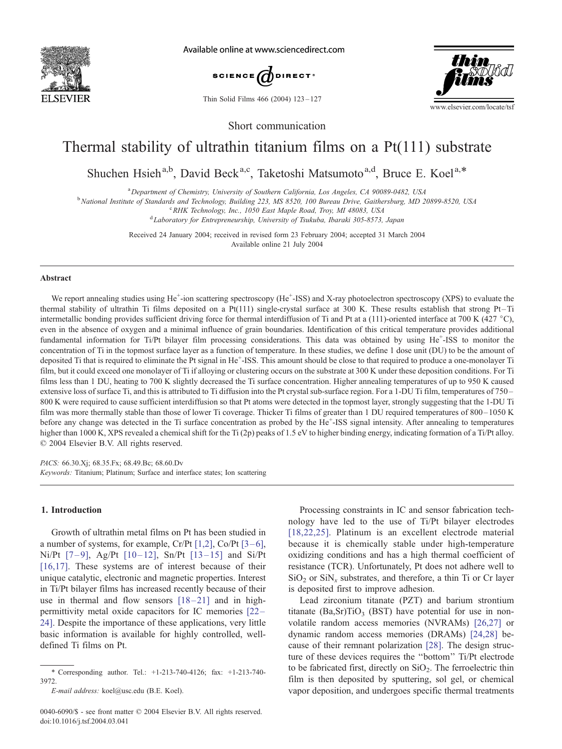

Available online at www.sciencedirect.com



Thin Solid Films 466 (2004) 123 – 127



Short communication

# Thermal stability of ultrathin titanium films on a Pt(111) substrate

Shuchen Hsieh<sup>a,b</sup>, David Beck<sup>a,c</sup>, Taketoshi Matsumoto<sup>a,d</sup>, Bruce E. Koel<sup>a,\*</sup>

<sup>a</sup> Department of Chemistry, University of Southern California, Los Angeles, CA 90089-0482, USA

<sup>b</sup> National Institute of Standards and Technology, Building 223, MS 8520, 100 Bureau Drive, Gaithersburg, MD 20899-8520, USA

<sup>c</sup> RHK Technology, Inc., 1050 East Maple Road, Troy, MI 48083, USA<sup>d</sup> Laboratory for Entranconqueshin, University of Tsylvha, Ibaraki 305,8573

Laboratory for Entrepreneurship, University of Tsukuba, Ibaraki 305-8573, Japan

Received 24 January 2004; received in revised form 23 February 2004; accepted 31 March 2004 Available online 21 July 2004

#### Abstract

We report annealing studies using He<sup>+</sup>-ion scattering spectroscopy (He<sup>+</sup>-ISS) and X-ray photoelectron spectroscopy (XPS) to evaluate the thermal stability of ultrathin Ti films deposited on a Pt(111) single-crystal surface at 300 K. These results establish that strong Pt-Ti intermetallic bonding provides sufficient driving force for thermal interdiffusion of Ti and Pt at a (111)-oriented interface at 700 K (427  $^{\circ}$ C), even in the absence of oxygen and a minimal influence of grain boundaries. Identification of this critical temperature provides additional fundamental information for Ti/Pt bilayer film processing considerations. This data was obtained by using He<sup>+</sup>-ISS to monitor the concentration of Ti in the topmost surface layer as a function of temperature. In these studies, we define 1 dose unit (DU) to be the amount of deposited Ti that is required to eliminate the Pt signal in He<sup>+</sup>-ISS. This amount should be close to that required to produce a one-monolayer Ti film, but it could exceed one monolayer of Ti if alloying or clustering occurs on the substrate at 300 K under these deposition conditions. For Ti films less than 1 DU, heating to 700 K slightly decreased the Ti surface concentration. Higher annealing temperatures of up to 950 K caused extensive loss of surface Ti, and this is attributed to Ti diffusion into the Pt crystal sub-surface region. For a 1-DU Ti film, temperatures of 750 – 800 K were required to cause sufficient interdiffusion so that Pt atoms were detected in the topmost layer, strongly suggesting that the 1-DU Ti film was more thermally stable than those of lower Ti coverage. Thicker Ti films of greater than 1 DU required temperatures of 800 – 1050 K before any change was detected in the Ti surface concentration as probed by the He<sup>+</sup>-ISS signal intensity. After annealing to temperatures higher than 1000 K, XPS revealed a chemical shift for the Ti (2p) peaks of 1.5 eV to higher binding energy, indicating formation of a Ti/Pt alloy.  $© 2004 Elsevier B.V. All rights reserved.$ 

PACS: 66.30.Xj; 68.35.Fx; 68.49.Bc; 68.60.Dv Keywords: Titanium; Platinum; Surface and interface states; Ion scattering

# 1. Introduction

Growth of ultrathin metal films on Pt has been studied in a number of systems, for example,  $Cr/Pt$  [\[1,2\],](#page-4-0)  $Co/Pt$  [3–6], Ni/Pt  $[7-9]$ , Ag/Pt  $[10-12]$ , Sn/Pt  $[13-15]$  and Si/Pt [\[16,17\].](#page-4-0) These systems are of interest because of their unique catalytic, electronic and magnetic properties. Interest in Ti/Pt bilayer films has increased recently because of their use in thermal and flow sensors  $[18-21]$  and in highpermittivity metal oxide capacitors for IC memories [\[22 –](#page-4-0) 24]. Despite the importance of these applications, very little basic information is available for highly controlled, welldefined Ti films on Pt.

Processing constraints in IC and sensor fabrication technology have led to the use of Ti/Pt bilayer electrodes [\[18,22,25\].](#page-4-0) Platinum is an excellent electrode material because it is chemically stable under high-temperature oxidizing conditions and has a high thermal coefficient of resistance (TCR). Unfortunately, Pt does not adhere well to  $SiO<sub>2</sub>$  or  $SiN<sub>x</sub>$  substrates, and therefore, a thin Ti or Cr layer is deposited first to improve adhesion.

Lead zirconium titanate (PZT) and barium strontium titanate  $(Ba, Sr)TiO<sub>3</sub> (BST)$  have potential for use in nonvolatile random access memories (NVRAMs) [\[26,27\]](#page-4-0) or dynamic random access memories (DRAMs) [\[24,28\]](#page-4-0) because of their remnant polarization [\[28\].](#page-4-0) The design structure of these devices requires the ''bottom'' Ti/Pt electrode to be fabricated first, directly on  $SiO<sub>2</sub>$ . The ferroelectric thin film is then deposited by sputtering, sol gel, or chemical vapor deposition, and undergoes specific thermal treatments

<sup>\*</sup> Corresponding author. Tel.: +1-213-740-4126; fax: +1-213-740- 3972.

E-mail address: koel@usc.edu (B.E. Koel).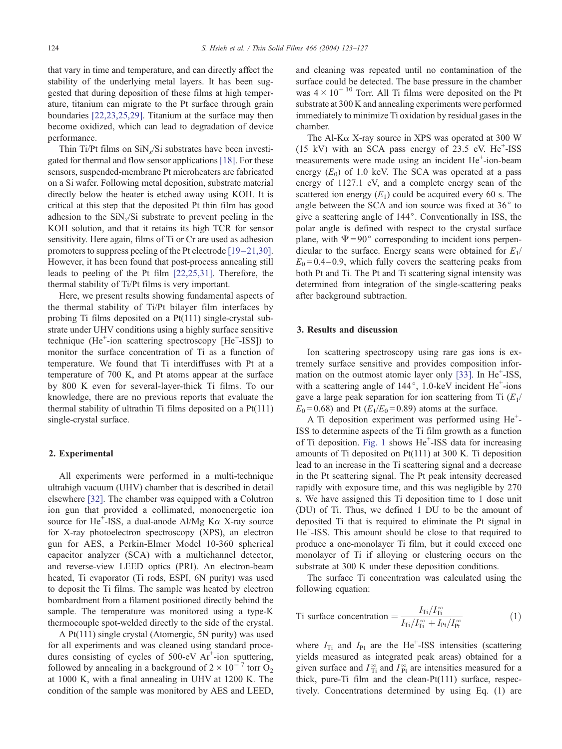that vary in time and temperature, and can directly affect the stability of the underlying metal layers. It has been suggested that during deposition of these films at high temperature, titanium can migrate to the Pt surface through grain boundaries [\[22,23,25,29\].](#page-4-0) Titanium at the surface may then become oxidized, which can lead to degradation of device performance.

Thin Ti/Pt films on  $\text{SiN}_x/\text{Si}$  substrates have been investigated for thermal and flow sensor applications [\[18\].](#page-4-0) For these sensors, suspended-membrane Pt microheaters are fabricated on a Si wafer. Following metal deposition, substrate material directly below the heater is etched away using KOH. It is critical at this step that the deposited Pt thin film has good adhesion to the  $\sinh(5)$  substrate to prevent peeling in the KOH solution, and that it retains its high TCR for sensor sensitivity. Here again, films of Ti or Cr are used as adhesion promoters to suppress peeling of the Pt electrode  $[19-21,30]$ . However, it has been found that post-process annealing still leads to peeling of the Pt film [\[22,25,31\].](#page-4-0) Therefore, the thermal stability of Ti/Pt films is very important.

Here, we present results showing fundamental aspects of the thermal stability of Ti/Pt bilayer film interfaces by probing Ti films deposited on a Pt(111) single-crystal substrate under UHV conditions using a highly surface sensitive technique (He<sup>+</sup>-ion scattering spectroscopy [He<sup>+</sup>-ISS]) to monitor the surface concentration of Ti as a function of temperature. We found that Ti interdiffuses with Pt at a temperature of 700 K, and Pt atoms appear at the surface by 800 K even for several-layer-thick Ti films. To our knowledge, there are no previous reports that evaluate the thermal stability of ultrathin Ti films deposited on a Pt(111) single-crystal surface.

### 2. Experimental

All experiments were performed in a multi-technique ultrahigh vacuum (UHV) chamber that is described in detail elsewhere [\[32\].](#page-4-0) The chamber was equipped with a Colutron ion gun that provided a collimated, monoenergetic ion source for He<sup> $+$ </sup>-ISS, a dual-anode Al/Mg K $\alpha$  X-ray source for X-ray photoelectron spectroscopy (XPS), an electron gun for AES, a Perkin-Elmer Model 10-360 spherical capacitor analyzer (SCA) with a multichannel detector, and reverse-view LEED optics (PRI). An electron-beam heated, Ti evaporator (Ti rods, ESPI, 6N purity) was used to deposit the Ti films. The sample was heated by electron bombardment from a filament positioned directly behind the sample. The temperature was monitored using a type-K thermocouple spot-welded directly to the side of the crystal.

A Pt(111) single crystal (Atomergic, 5N purity) was used for all experiments and was cleaned using standard procedures consisting of cycles of  $500$ -eV  $Ar^+$ -ion sputtering, followed by annealing in a background of  $2 \times 10^{-7}$  torr O<sub>2</sub> at 1000 K, with a final annealing in UHV at 1200 K. The condition of the sample was monitored by AES and LEED, and cleaning was repeated until no contamination of the surface could be detected. The base pressure in the chamber was  $4 \times 10^{-10}$  Torr. All Ti films were deposited on the Pt substrate at 300 K and annealing experiments were performed immediately to minimize Ti oxidation by residual gases in the chamber.

The Al-K $\alpha$  X-ray source in XPS was operated at 300 W  $(15 \text{ kV})$  with an SCA pass energy of 23.5 eV. He<sup>+</sup>-ISS measurements were made using an incident He<sup>+</sup>-ion-beam energy  $(E_0)$  of 1.0 keV. The SCA was operated at a pass energy of 1127.1 eV, and a complete energy scan of the scattered ion energy  $(E_1)$  could be acquired every 60 s. The angle between the SCA and ion source was fixed at  $36^\circ$  to give a scattering angle of 144°. Conventionally in ISS, the polar angle is defined with respect to the crystal surface plane, with  $\Psi = 90^\circ$  corresponding to incident ions perpendicular to the surface. Energy scans were obtained for  $E_1$ /  $E_0 = 0.4 - 0.9$ , which fully covers the scattering peaks from both Pt and Ti. The Pt and Ti scattering signal intensity was determined from integration of the single-scattering peaks after background subtraction.

## 3. Results and discussion

Ion scattering spectroscopy using rare gas ions is extremely surface sensitive and provides composition infor-mation on the outmost atomic layer only [\[33\].](#page-4-0) In He<sup>+</sup>-ISS, with a scattering angle of 144°, 1.0-keV incident He<sup>+</sup>-ions gave a large peak separation for ion scattering from Ti  $(E_1)$  $E_0 = 0.68$ ) and Pt ( $E_1/E_0 = 0.89$ ) atoms at the surface.

A Ti deposition experiment was performed using He<sup>+</sup>-ISS to determine aspects of the Ti film growth as a function of Ti deposition. [Fig. 1](#page-2-0) shows He<sup>+</sup>-ISS data for increasing amounts of Ti deposited on Pt(111) at 300 K. Ti deposition lead to an increase in the Ti scattering signal and a decrease in the Pt scattering signal. The Pt peak intensity decreased rapidly with exposure time, and this was negligible by 270 s. We have assigned this Ti deposition time to 1 dose unit (DU) of Ti. Thus, we defined 1 DU to be the amount of deposited Ti that is required to eliminate the Pt signal in He<sup>+</sup>-ISS. This amount should be close to that required to produce a one-monolayer Ti film, but it could exceed one monolayer of Ti if alloying or clustering occurs on the substrate at 300 K under these deposition conditions.

The surface Ti concentration was calculated using the following equation:

$$
\text{Ti surface concentration} = \frac{I_{\text{Ti}}/I_{\text{Ti}}^{\infty}}{I_{\text{Ti}}/I_{\text{Ti}}^{\infty} + I_{\text{Pt}}/I_{\text{Pt}}^{\infty}} \tag{1}
$$

where  $I_{Ti}$  and  $I_{Pt}$  are the He<sup>+</sup>-ISS intensities (scattering yields measured as integrated peak areas) obtained for a given surface and  $I_{\text{Ti}}^{\infty}$  and  $I_{\text{Pt}}^{\infty}$  are intensities measured for a thick, pure-Ti film and the clean-Pt(111) surface, respectively. Concentrations determined by using Eq. (1) are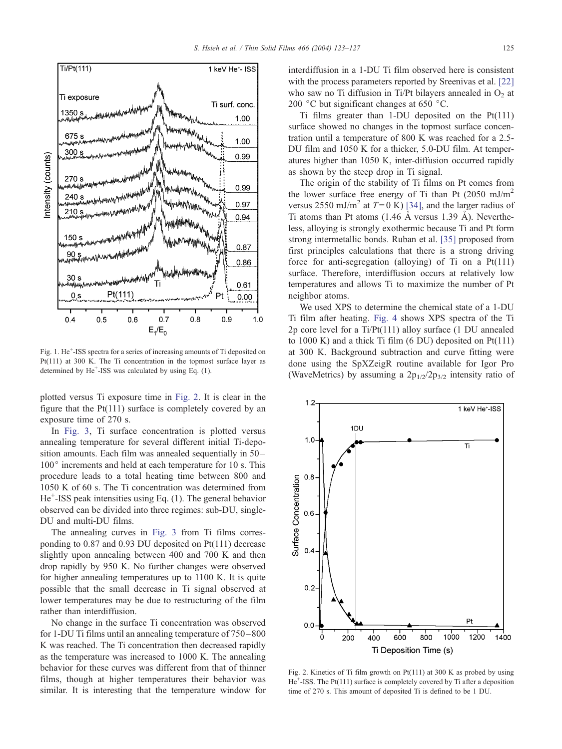<span id="page-2-0"></span>

Fig. 1. He<sup>+</sup>-ISS spectra for a series of increasing amounts of Ti deposited on Pt(111) at 300 K. The Ti concentration in the topmost surface layer as determined by He<sup>+</sup>-ISS was calculated by using Eq. (1).

plotted versus Ti exposure time in Fig. 2. It is clear in the figure that the  $Pt(111)$  surface is completely covered by an exposure time of 270 s.

In [Fig. 3,](#page-3-0) Ti surface concentration is plotted versus annealing temperature for several different initial Ti-deposition amounts. Each film was annealed sequentially in 50–  $100^{\circ}$  increments and held at each temperature for 10 s. This procedure leads to a total heating time between 800 and 1050 K of 60 s. The Ti concentration was determined from He<sup>+</sup>-ISS peak intensities using Eq. (1). The general behavior observed can be divided into three regimes: sub-DU, single-DU and multi-DU films.

The annealing curves in [Fig. 3](#page-3-0) from Ti films corresponding to 0.87 and 0.93 DU deposited on Pt(111) decrease slightly upon annealing between 400 and 700 K and then drop rapidly by 950 K. No further changes were observed for higher annealing temperatures up to 1100 K. It is quite possible that the small decrease in Ti signal observed at lower temperatures may be due to restructuring of the film rather than interdiffusion.

No change in the surface Ti concentration was observed for 1-DU Ti films until an annealing temperature of 750 –800 K was reached. The Ti concentration then decreased rapidly as the temperature was increased to 1000 K. The annealing behavior for these curves was different from that of thinner films, though at higher temperatures their behavior was similar. It is interesting that the temperature window for interdiffusion in a 1-DU Ti film observed here is consistent with the process parameters reported by Sreenivas et al. [\[22\]](#page-4-0) who saw no Ti diffusion in Ti/Pt bilayers annealed in  $O<sub>2</sub>$  at 200  $\degree$ C but significant changes at 650  $\degree$ C.

Ti films greater than 1-DU deposited on the  $Pt(111)$ surface showed no changes in the topmost surface concentration until a temperature of 800 K was reached for a 2.5- DU film and 1050 K for a thicker, 5.0-DU film. At temperatures higher than 1050 K, inter-diffusion occurred rapidly as shown by the steep drop in Ti signal.

The origin of the stability of Ti films on Pt comes from the lower surface free energy of Ti than Pt  $(2050 \text{ mJ/m}^2)$ versus 2550 mJ/m<sup>2</sup> at  $T=0$  K) [\[34\],](#page-4-0) and the larger radius of Ti atoms than Pt atoms  $(1.46 \text{ Å}$  versus 1.39 Å). Nevertheless, alloying is strongly exothermic because Ti and Pt form strong intermetallic bonds. Ruban et al. [\[35\]](#page-4-0) proposed from first principles calculations that there is a strong driving force for anti-segregation (alloying) of Ti on a Pt(111) surface. Therefore, interdiffusion occurs at relatively low temperatures and allows Ti to maximize the number of Pt neighbor atoms.

We used XPS to determine the chemical state of a 1-DU Ti film after heating. [Fig. 4](#page-3-0) shows XPS spectra of the Ti 2p core level for a Ti/Pt(111) alloy surface (1 DU annealed to 1000 K) and a thick Ti film (6 DU) deposited on Pt(111) at 300 K. Background subtraction and curve fitting were done using the SpXZeigR routine available for Igor Pro (WaveMetrics) by assuming a  $2p_{1/2}/2p_{3/2}$  intensity ratio of



Fig. 2. Kinetics of Ti film growth on Pt(111) at 300 K as probed by using He<sup>+</sup>-ISS. The Pt(111) surface is completely covered by Ti after a deposition time of 270 s. This amount of deposited Ti is defined to be 1 DU.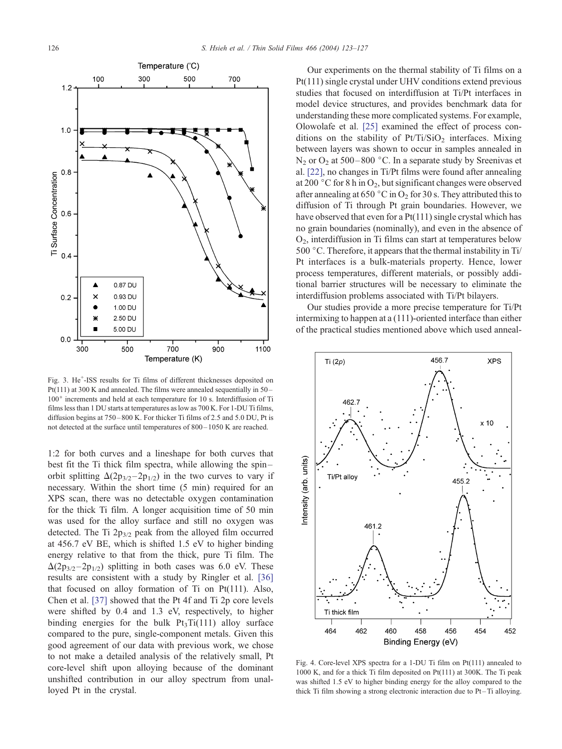<span id="page-3-0"></span>

Fig. 3. He<sup>+</sup>-ISS results for Ti films of different thicknesses deposited on Pt(111) at 300 K and annealed. The films were annealed sequentially in 50 – 100° increments and held at each temperature for 10 s. Interdiffusion of Ti films less than 1 DU starts at temperatures as low as 700 K. For 1-DU Ti films, diffusion begins at 750 – 800 K. For thicker Ti films of 2.5 and 5.0 DU, Pt is not detected at the surface until temperatures of 800 – 1050 K are reached.

1:2 for both curves and a lineshape for both curves that best fit the Ti thick film spectra, while allowing the spin – orbit splitting  $\Delta(2p_{3/2}-2p_{1/2})$  in the two curves to vary if necessary. Within the short time (5 min) required for an XPS scan, there was no detectable oxygen contamination for the thick Ti film. A longer acquisition time of 50 min was used for the alloy surface and still no oxygen was detected. The Ti  $2p_{3/2}$  peak from the alloyed film occurred at 456.7 eV BE, which is shifted 1.5 eV to higher binding energy relative to that from the thick, pure Ti film. The  $\Delta(2p_{3/2} - 2p_{1/2})$  splitting in both cases was 6.0 eV. These results are consistent with a study by Ringler et al. [\[36\]](#page-4-0) that focused on alloy formation of Ti on Pt(111). Also, Chen et al. [\[37\]](#page-4-0) showed that the Pt 4f and Ti 2p core levels were shifted by 0.4 and 1.3 eV, respectively, to higher binding energies for the bulk  $Pt_3Ti(111)$  alloy surface compared to the pure, single-component metals. Given this good agreement of our data with previous work, we chose to not make a detailed analysis of the relatively small, Pt core-level shift upon alloying because of the dominant unshifted contribution in our alloy spectrum from unalloyed Pt in the crystal.

Our experiments on the thermal stability of Ti films on a Pt(111) single crystal under UHV conditions extend previous studies that focused on interdiffusion at Ti/Pt interfaces in model device structures, and provides benchmark data for understanding these more complicated systems. For example, Olowolafe et al. [\[25\]](#page-4-0) examined the effect of process conditions on the stability of  $Pt/Ti/SiO<sub>2</sub>$  interfaces. Mixing between layers was shown to occur in samples annealed in  $N_2$  or  $O_2$  at 500–800 °C. In a separate study by Sreenivas et al. [\[22\],](#page-4-0) no changes in Ti/Pt films were found after annealing at 200  $\degree$ C for 8 h in O<sub>2</sub>, but significant changes were observed after annealing at 650 °C in O<sub>2</sub> for 30 s. They attributed this to diffusion of Ti through Pt grain boundaries. However, we have observed that even for a  $Pt(111)$  single crystal which has no grain boundaries (nominally), and even in the absence of O2, interdiffusion in Ti films can start at temperatures below 500  $\degree$ C. Therefore, it appears that the thermal instability in Ti/ Pt interfaces is a bulk-materials property. Hence, lower process temperatures, different materials, or possibly additional barrier structures will be necessary to eliminate the interdiffusion problems associated with Ti/Pt bilayers.

Our studies provide a more precise temperature for Ti/Pt intermixing to happen at a (111)-oriented interface than either of the practical studies mentioned above which used anneal-



Fig. 4. Core-level XPS spectra for a 1-DU Ti film on Pt(111) annealed to 1000 K, and for a thick Ti film deposited on Pt(111) at 300K. The Ti peak was shifted 1.5 eV to higher binding energy for the alloy compared to the thick Ti film showing a strong electronic interaction due to Pt – Ti alloying.